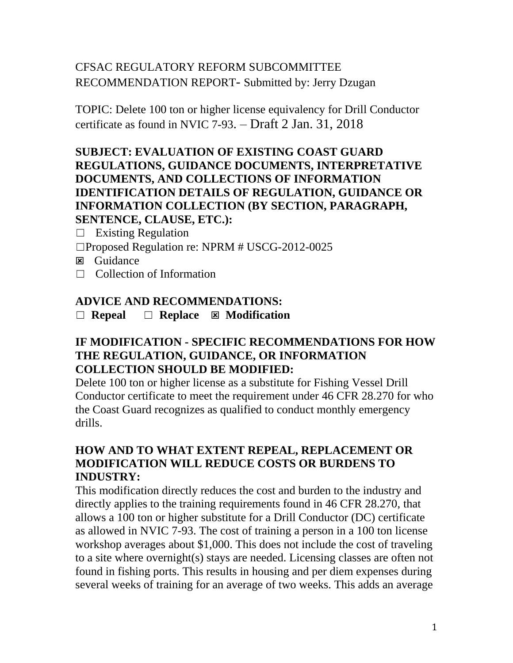# CFSAC REGULATORY REFORM SUBCOMMITTEE RECOMMENDATION REPORT- Submitted by: Jerry Dzugan

TOPIC: Delete 100 ton or higher license equivalency for Drill Conductor certificate as found in NVIC 7-93. – Draft 2 Jan. 31, 2018

### **SUBJECT: EVALUATION OF EXISTING COAST GUARD REGULATIONS, GUIDANCE DOCUMENTS, INTERPRETATIVE DOCUMENTS, AND COLLECTIONS OF INFORMATION IDENTIFICATION DETAILS OF REGULATION, GUIDANCE OR INFORMATION COLLECTION (BY SECTION, PARAGRAPH, SENTENCE, CLAUSE, ETC.):**

 $\Box$  Existing Regulation

- ☐Proposed Regulation re: NPRM # USCG-2012-0025
- **E** Guidance
- ☐ Collection of Information

### **ADVICE AND RECOMMENDATIONS:**

☐ **Repeal** ☐ **Replace Modification**

### **IF MODIFICATION - SPECIFIC RECOMMENDATIONS FOR HOW THE REGULATION, GUIDANCE, OR INFORMATION COLLECTION SHOULD BE MODIFIED:**

Delete 100 ton or higher license as a substitute for Fishing Vessel Drill Conductor certificate to meet the requirement under 46 CFR 28.270 for who the Coast Guard recognizes as qualified to conduct monthly emergency drills.

### **HOW AND TO WHAT EXTENT REPEAL, REPLACEMENT OR MODIFICATION WILL REDUCE COSTS OR BURDENS TO INDUSTRY:**

This modification directly reduces the cost and burden to the industry and directly applies to the training requirements found in 46 CFR 28.270, that allows a 100 ton or higher substitute for a Drill Conductor (DC) certificate as allowed in NVIC 7-93. The cost of training a person in a 100 ton license workshop averages about \$1,000. This does not include the cost of traveling to a site where overnight(s) stays are needed. Licensing classes are often not found in fishing ports. This results in housing and per diem expenses during several weeks of training for an average of two weeks. This adds an average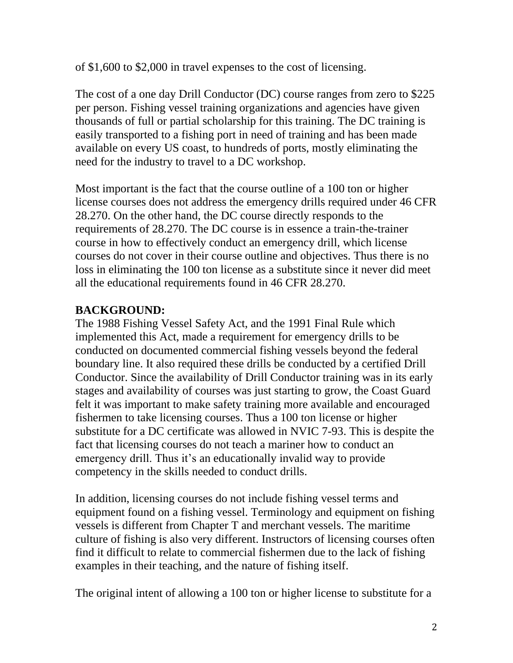of \$1,600 to \$2,000 in travel expenses to the cost of licensing.

The cost of a one day Drill Conductor (DC) course ranges from zero to \$225 per person. Fishing vessel training organizations and agencies have given thousands of full or partial scholarship for this training. The DC training is easily transported to a fishing port in need of training and has been made available on every US coast, to hundreds of ports, mostly eliminating the need for the industry to travel to a DC workshop.

Most important is the fact that the course outline of a 100 ton or higher license courses does not address the emergency drills required under 46 CFR 28.270. On the other hand, the DC course directly responds to the requirements of 28.270. The DC course is in essence a train-the-trainer course in how to effectively conduct an emergency drill, which license courses do not cover in their course outline and objectives. Thus there is no loss in eliminating the 100 ton license as a substitute since it never did meet all the educational requirements found in 46 CFR 28.270.

### **BACKGROUND:**

The 1988 Fishing Vessel Safety Act, and the 1991 Final Rule which implemented this Act, made a requirement for emergency drills to be conducted on documented commercial fishing vessels beyond the federal boundary line. It also required these drills be conducted by a certified Drill Conductor. Since the availability of Drill Conductor training was in its early stages and availability of courses was just starting to grow, the Coast Guard felt it was important to make safety training more available and encouraged fishermen to take licensing courses. Thus a 100 ton license or higher substitute for a DC certificate was allowed in NVIC 7-93. This is despite the fact that licensing courses do not teach a mariner how to conduct an emergency drill. Thus it's an educationally invalid way to provide competency in the skills needed to conduct drills.

In addition, licensing courses do not include fishing vessel terms and equipment found on a fishing vessel. Terminology and equipment on fishing vessels is different from Chapter T and merchant vessels. The maritime culture of fishing is also very different. Instructors of licensing courses often find it difficult to relate to commercial fishermen due to the lack of fishing examples in their teaching, and the nature of fishing itself.

The original intent of allowing a 100 ton or higher license to substitute for a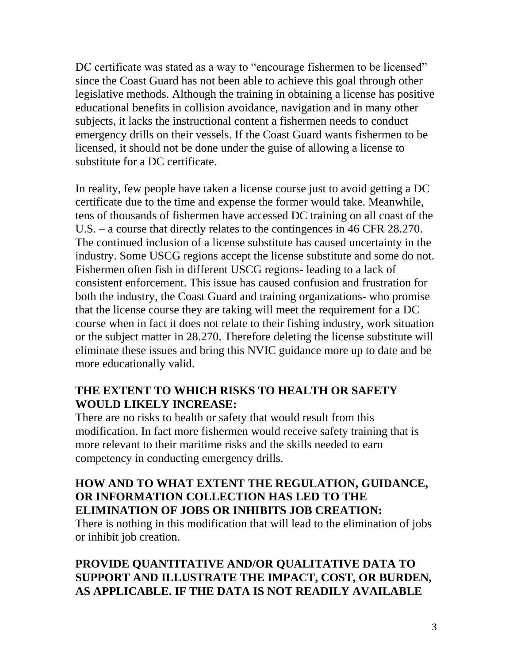DC certificate was stated as a way to "encourage fishermen to be licensed" since the Coast Guard has not been able to achieve this goal through other legislative methods. Although the training in obtaining a license has positive educational benefits in collision avoidance, navigation and in many other subjects, it lacks the instructional content a fishermen needs to conduct emergency drills on their vessels. If the Coast Guard wants fishermen to be licensed, it should not be done under the guise of allowing a license to substitute for a DC certificate.

In reality, few people have taken a license course just to avoid getting a DC certificate due to the time and expense the former would take. Meanwhile, tens of thousands of fishermen have accessed DC training on all coast of the U.S. – a course that directly relates to the contingences in 46 CFR 28.270. The continued inclusion of a license substitute has caused uncertainty in the industry. Some USCG regions accept the license substitute and some do not. Fishermen often fish in different USCG regions- leading to a lack of consistent enforcement. This issue has caused confusion and frustration for both the industry, the Coast Guard and training organizations- who promise that the license course they are taking will meet the requirement for a DC course when in fact it does not relate to their fishing industry, work situation or the subject matter in 28.270. Therefore deleting the license substitute will eliminate these issues and bring this NVIC guidance more up to date and be more educationally valid.

### **THE EXTENT TO WHICH RISKS TO HEALTH OR SAFETY WOULD LIKELY INCREASE:**

There are no risks to health or safety that would result from this modification. In fact more fishermen would receive safety training that is more relevant to their maritime risks and the skills needed to earn competency in conducting emergency drills.

### **HOW AND TO WHAT EXTENT THE REGULATION, GUIDANCE, OR INFORMATION COLLECTION HAS LED TO THE ELIMINATION OF JOBS OR INHIBITS JOB CREATION:**

There is nothing in this modification that will lead to the elimination of jobs or inhibit job creation.

# **PROVIDE QUANTITATIVE AND/OR QUALITATIVE DATA TO SUPPORT AND ILLUSTRATE THE IMPACT, COST, OR BURDEN, AS APPLICABLE. IF THE DATA IS NOT READILY AVAILABLE**